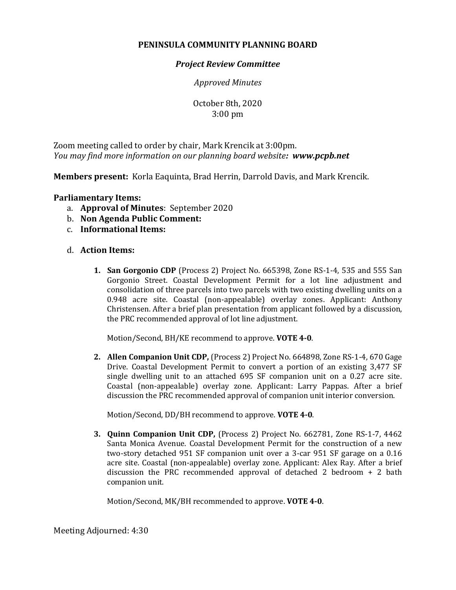## **PENINSULA COMMUNITY PLANNING BOARD**

## *Project Review Committee*

*Approved Minutes*

October 8th, 2020 3:00 pm

Zoom meeting called to order by chair, Mark Krencik at 3:00pm. *You may find more information on our planning board website: www.pcpb.net*

**Members present:** Korla Eaquinta, Brad Herrin, Darrold Davis, and Mark Krencik.

## **Parliamentary Items:**

- a. **Approval of Minutes**: September 2020
- b. **Non Agenda Public Comment:**
- c. **Informational Items:**

## d. **Action Items:**

**1. San Gorgonio CDP** (Process 2) Project No. 665398, Zone RS-1-4, 535 and 555 San Gorgonio Street. Coastal Development Permit for a lot line adjustment and consolidation of three parcels into two parcels with two existing dwelling units on a 0.948 acre site. Coastal (non-appealable) overlay zones. Applicant: Anthony Christensen. After a brief plan presentation from applicant followed by a discussion, the PRC recommended approval of lot line adjustment.

Motion/Second, BH/KE recommend to approve. **VOTE 4-0**.

**2. Allen Companion Unit CDP,** (Process 2) Project No. 664898, Zone RS-1-4, 670 Gage Drive. Coastal Development Permit to convert a portion of an existing 3,477 SF single dwelling unit to an attached 695 SF companion unit on a 0.27 acre site. Coastal (non-appealable) overlay zone. Applicant: Larry Pappas. After a brief discussion the PRC recommended approval of companion unit interior conversion.

Motion/Second, DD/BH recommend to approve. **VOTE 4-0**.

**3. Quinn Companion Unit CDP,** (Process 2) Project No. 662781, Zone RS-1-7, 4462 Santa Monica Avenue. Coastal Development Permit for the construction of a new two-story detached 951 SF companion unit over a 3-car 951 SF garage on a 0.16 acre site. Coastal (non-appealable) overlay zone. Applicant: Alex Ray. After a brief discussion the PRC recommended approval of detached 2 bedroom + 2 bath companion unit.

Motion/Second, MK/BH recommended to approve. **VOTE 4-0**.

Meeting Adjourned: 4:30